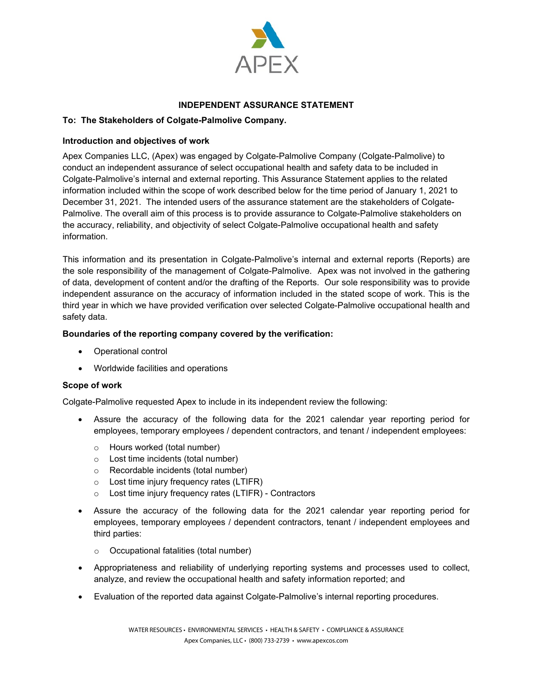

# **INDEPENDENT ASSURANCE STATEMENT**

## **To: The Stakeholders of Colgate-Palmolive Company.**

### **Introduction and objectives of work**

Apex Companies LLC, (Apex) was engaged by Colgate-Palmolive Company (Colgate-Palmolive) to conduct an independent assurance of select occupational health and safety data to be included in Colgate-Palmolive's internal and external reporting. This Assurance Statement applies to the related information included within the scope of work described below for the time period of January 1, 2021 to December 31, 2021. The intended users of the assurance statement are the stakeholders of Colgate-Palmolive. The overall aim of this process is to provide assurance to Colgate-Palmolive stakeholders on the accuracy, reliability, and objectivity of select Colgate-Palmolive occupational health and safety information.

This information and its presentation in Colgate-Palmolive's internal and external reports (Reports) are the sole responsibility of the management of Colgate-Palmolive. Apex was not involved in the gathering of data, development of content and/or the drafting of the Reports. Our sole responsibility was to provide independent assurance on the accuracy of information included in the stated scope of work. This is the third year in which we have provided verification over selected Colgate-Palmolive occupational health and safety data.

### **Boundaries of the reporting company covered by the verification:**

- Operational control
- Worldwide facilities and operations

### **Scope of work**

Colgate-Palmolive requested Apex to include in its independent review the following:

- Assure the accuracy of the following data for the 2021 calendar year reporting period for employees, temporary employees / dependent contractors, and tenant / independent employees:
	- o Hours worked (total number)
	- o Lost time incidents (total number)
	- o Recordable incidents (total number)
	- o Lost time injury frequency rates (LTIFR)
	- o Lost time injury frequency rates (LTIFR) Contractors
- Assure the accuracy of the following data for the 2021 calendar year reporting period for employees, temporary employees / dependent contractors, tenant / independent employees and third parties:
	- o Occupational fatalities (total number)
- Appropriateness and reliability of underlying reporting systems and processes used to collect, analyze, and review the occupational health and safety information reported; and
- Evaluation of the reported data against Colgate-Palmolive's internal reporting procedures.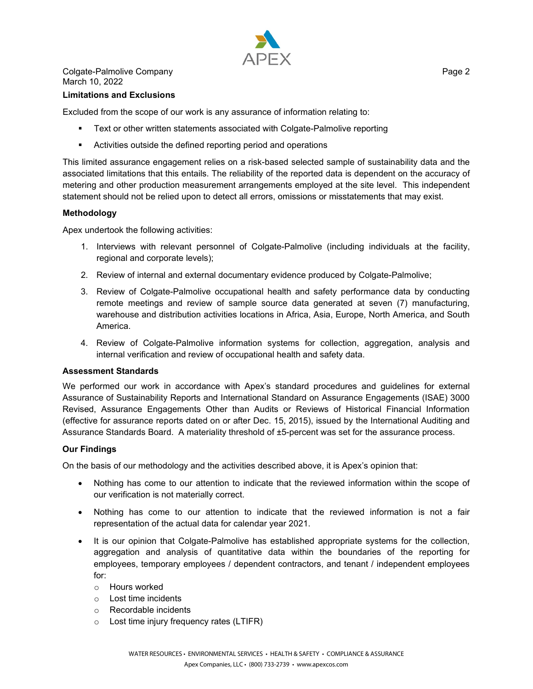

Colgate-Palmolive Company **Page 2** 2 March 10, 2022

#### **Limitations and Exclusions**

Excluded from the scope of our work is any assurance of information relating to:

- **Text or other written statements associated with Colgate-Palmolive reporting**
- Activities outside the defined reporting period and operations

This limited assurance engagement relies on a risk-based selected sample of sustainability data and the associated limitations that this entails. The reliability of the reported data is dependent on the accuracy of metering and other production measurement arrangements employed at the site level. This independent statement should not be relied upon to detect all errors, omissions or misstatements that may exist.

### **Methodology**

Apex undertook the following activities:

- 1. Interviews with relevant personnel of Colgate-Palmolive (including individuals at the facility, regional and corporate levels);
- 2. Review of internal and external documentary evidence produced by Colgate-Palmolive;
- 3. Review of Colgate-Palmolive occupational health and safety performance data by conducting remote meetings and review of sample source data generated at seven (7) manufacturing, warehouse and distribution activities locations in Africa, Asia, Europe, North America, and South America.
- 4. Review of Colgate-Palmolive information systems for collection, aggregation, analysis and internal verification and review of occupational health and safety data.

#### **Assessment Standards**

We performed our work in accordance with Apex's standard procedures and guidelines for external Assurance of Sustainability Reports and International Standard on Assurance Engagements (ISAE) 3000 Revised, Assurance Engagements Other than Audits or Reviews of Historical Financial Information (effective for assurance reports dated on or after Dec. 15, 2015), issued by the International Auditing and Assurance Standards Board. A materiality threshold of ±5-percent was set for the assurance process.

### **Our Findings**

On the basis of our methodology and the activities described above, it is Apex's opinion that:

- Nothing has come to our attention to indicate that the reviewed information within the scope of our verification is not materially correct.
- Nothing has come to our attention to indicate that the reviewed information is not a fair representation of the actual data for calendar year 2021.
- It is our opinion that Colgate-Palmolive has established appropriate systems for the collection, aggregation and analysis of quantitative data within the boundaries of the reporting for employees, temporary employees / dependent contractors, and tenant / independent employees for:
	- o Hours worked
	- o Lost time incidents
	- o Recordable incidents
	- o Lost time injury frequency rates (LTIFR)